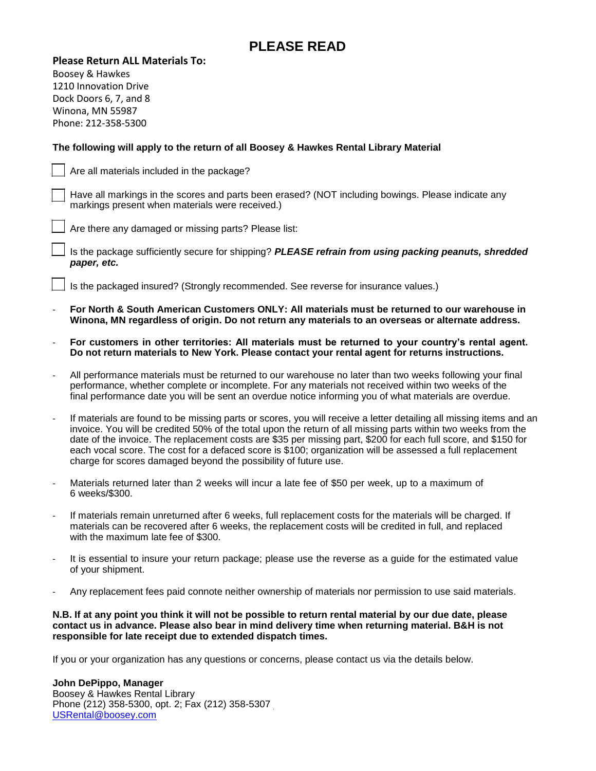## **PLEASE READ**

#### **Please Return ALL Materials To:**

Boosey & Hawkes 1210 Innovation Drive Dock Doors 6, 7, and 8 Winona, MN 55987 Phone: 212-358-5300

### **The following will apply to the return of all Boosey & Hawkes Rental Library Material**

Are all materials included in the package?

Have all markings in the scores and parts been erased? (NOT including bowings. Please indicate any markings present when materials were received.)

Are there any damaged or missing parts? Please list:

Is the package sufficiently secure for shipping? *PLEASE refrain from using packing peanuts, shredded paper, etc.*

Is the packaged insured? (Strongly recommended. See reverse for insurance values.)

- **For North & South American Customers ONLY: All materials must be returned to our warehouse in Winona, MN regardless of origin. Do not return any materials to an overseas or alternate address.**
- **For customers in other territories: All materials must be returned to your country's rental agent. Do not return materials to New York. Please contact your rental agent for returns instructions.**
- All performance materials must be returned to our warehouse no later than two weeks following your final performance, whether complete or incomplete. For any materials not received within two weeks of the final performance date you will be sent an overdue notice informing you of what materials are overdue.
- If materials are found to be missing parts or scores, you will receive a letter detailing all missing items and an invoice. You will be credited 50% of the total upon the return of all missing parts within two weeks from the date of the invoice. The replacement costs are \$35 per missing part, \$200 for each full score, and \$150 for each vocal score. The cost for a defaced score is \$100; organization will be assessed a full replacement charge for scores damaged beyond the possibility of future use.
- Materials returned later than 2 weeks will incur a late fee of \$50 per week, up to a maximum of 6 weeks/\$300.
- If materials remain unreturned after 6 weeks, full replacement costs for the materials will be charged. If materials can be recovered after 6 weeks, the replacement costs will be credited in full, and replaced with the maximum late fee of \$300.
- It is essential to insure your return package; please use the reverse as a guide for the estimated value of your shipment.
- Any replacement fees paid connote neither ownership of materials nor permission to use said materials.

**N.B. If at any point you think it will not be possible to return rental material by our due date, please contact us in advance. Please also bear in mind delivery time when returning material. B&H is not responsible for late receipt due to extended dispatch times.**

If you or your organization has any questions or concerns, please contact us via the details below.

#### **John DePippo, Manager** Boosey & Hawkes Rental Library Phone (212) 358-5300, opt. 2; Fax (212) 358-5307 [USRental@boosey.com](mailto:USRental@boosey.com)